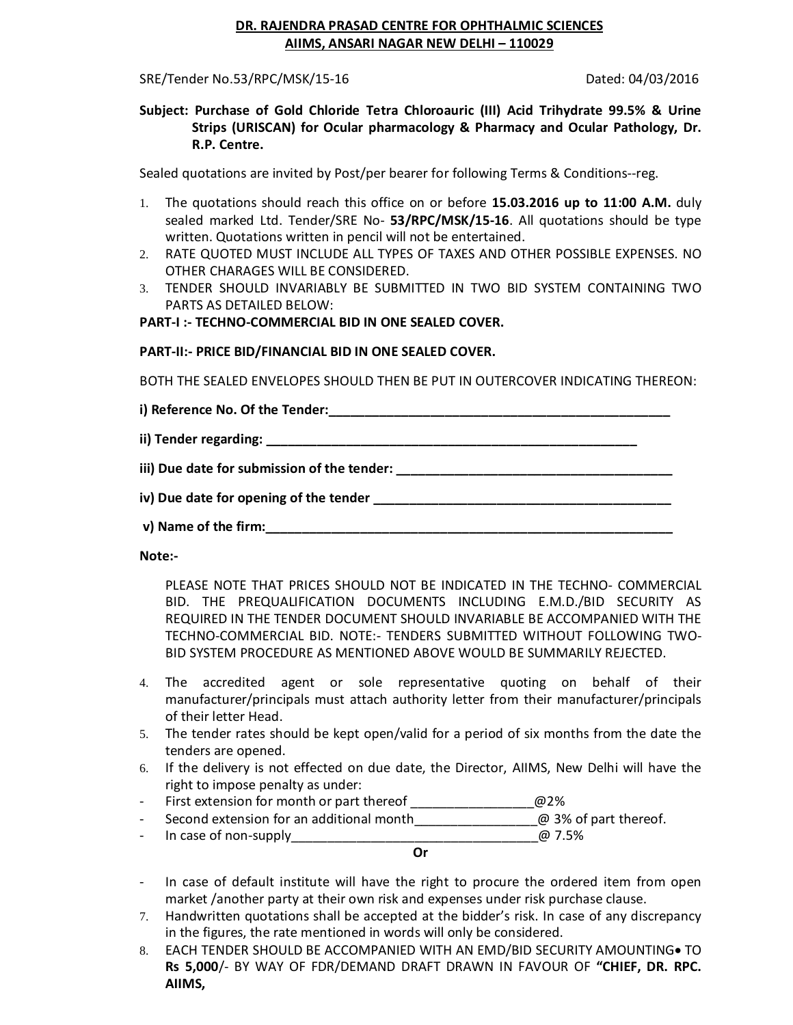# **DR. RAJENDRA PRASAD CENTRE FOR OPHTHALMIC SCIENCES AIIMS, ANSARI NAGAR NEW DELHI – 110029**

SRE/Tender No.53/RPC/MSK/15-16 Dated: 04/03/2016

## **Subject: Purchase of Gold Chloride Tetra Chloroauric (III) Acid Trihydrate 99.5% & Urine Strips (URISCAN) for Ocular pharmacology & Pharmacy and Ocular Pathology, Dr. R.P. Centre.**

Sealed quotations are invited by Post/per bearer for following Terms & Conditions--reg.

- 1. The quotations should reach this office on or before **15.03.2016 up to 11:00 A.M.** duly sealed marked Ltd. Tender/SRE No- **53/RPC/MSK/15-16**. All quotations should be type written. Quotations written in pencil will not be entertained.
- 2. RATE QUOTED MUST INCLUDE ALL TYPES OF TAXES AND OTHER POSSIBLE EXPENSES. NO OTHER CHARAGES WILL BE CONSIDERED.
- 3. TENDER SHOULD INVARIABLY BE SUBMITTED IN TWO BID SYSTEM CONTAINING TWO PARTS AS DETAILED BELOW:

## **PART-I :- TECHNO-COMMERCIAL BID IN ONE SEALED COVER.**

### **PART-II:- PRICE BID/FINANCIAL BID IN ONE SEALED COVER.**

BOTH THE SEALED ENVELOPES SHOULD THEN BE PUT IN OUTERCOVER INDICATING THEREON:

**i) Reference No. Of the Tender:\_\_\_\_\_\_\_\_\_\_\_\_\_\_\_\_\_\_\_\_\_\_\_\_\_\_\_\_\_\_\_\_\_\_\_\_\_\_\_\_\_\_\_\_\_\_\_** 

**ii) Tender regarding: \_\_\_\_\_\_\_\_\_\_\_\_\_\_\_\_\_\_\_\_\_\_\_\_\_\_\_\_\_\_\_\_\_\_\_\_\_\_\_\_\_\_\_\_\_\_\_\_\_\_\_** 

**iii) Due date for submission of the tender: \_\_\_\_\_\_\_\_\_\_\_\_\_\_\_\_\_\_\_\_\_\_\_\_\_\_\_\_\_\_\_\_\_\_\_\_\_\_**

**iv)** Due date for opening of the tender **with the set of the set of the set of the set of the set of the set of the set of the set of the set of the set of the set of the set of the set of the set of the set of the set of** 

**v) Name of the firm:\_\_\_\_\_\_\_\_\_\_\_\_\_\_\_\_\_\_\_\_\_\_\_\_\_\_\_\_\_\_\_\_\_\_\_\_\_\_\_\_\_\_\_\_\_\_\_\_\_\_\_\_\_\_\_\_** 

**Note:-**

PLEASE NOTE THAT PRICES SHOULD NOT BE INDICATED IN THE TECHNO- COMMERCIAL BID. THE PREQUALIFICATION DOCUMENTS INCLUDING E.M.D./BID SECURITY AS REQUIRED IN THE TENDER DOCUMENT SHOULD INVARIABLE BE ACCOMPANIED WITH THE TECHNO-COMMERCIAL BID. NOTE:- TENDERS SUBMITTED WITHOUT FOLLOWING TWO-BID SYSTEM PROCEDURE AS MENTIONED ABOVE WOULD BE SUMMARILY REJECTED.

- 4. The accredited agent or sole representative quoting on behalf of their manufacturer/principals must attach authority letter from their manufacturer/principals of their letter Head.
- 5. The tender rates should be kept open/valid for a period of six months from the date the tenders are opened.
- 6. If the delivery is not effected on due date, the Director, AIIMS, New Delhi will have the right to impose penalty as under:
- First extension for month or part thereof  $@2\%$
- Second extension for an additional month  $\omega$  3% of part thereof.
- In case of non-supply\_\_\_\_\_\_\_\_\_\_\_\_\_\_\_\_\_\_\_\_\_\_\_\_\_\_\_\_\_\_\_\_\_\_@ 7.5%

**Or**

- In case of default institute will have the right to procure the ordered item from open market /another party at their own risk and expenses under risk purchase clause.
- 7. Handwritten quotations shall be accepted at the bidder's risk. In case of any discrepancy in the figures, the rate mentioned in words will only be considered.
- 8. EACH TENDER SHOULD BE ACCOMPANIED WITH AN EMD/BID SECURITY AMOUNTING TO **Rs 5,000**/- BY WAY OF FDR/DEMAND DRAFT DRAWN IN FAVOUR OF **"CHIEF, DR. RPC. AIIMS,**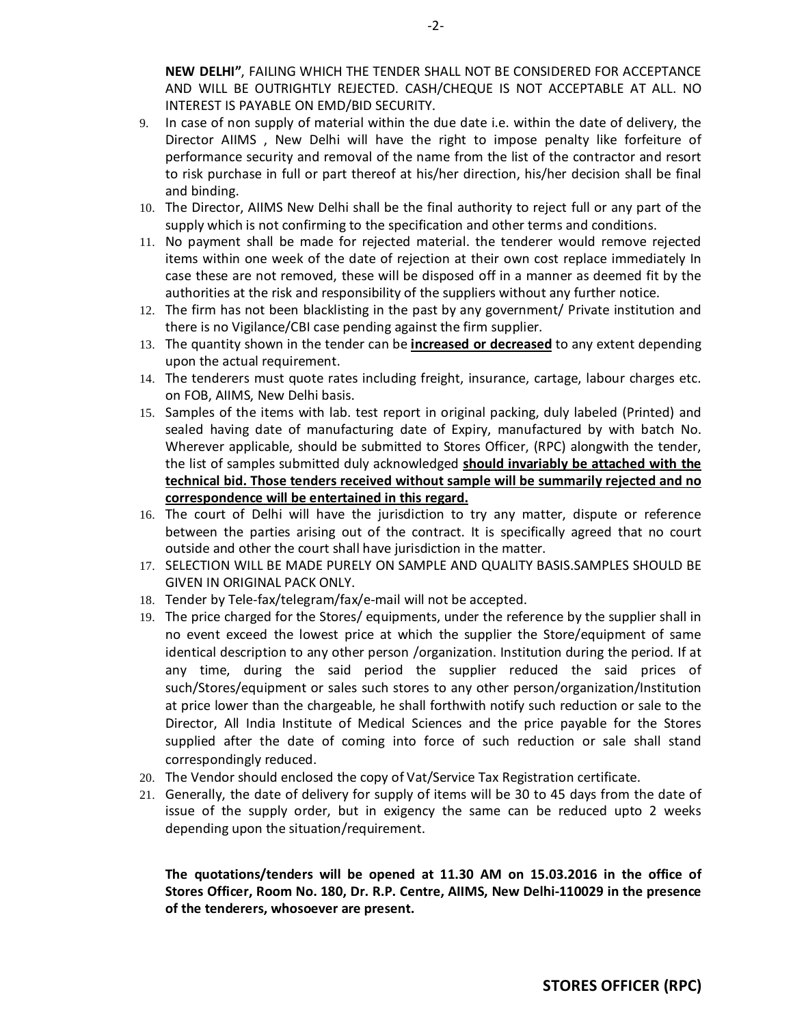**NEW DELHI"**, FAILING WHICH THE TENDER SHALL NOT BE CONSIDERED FOR ACCEPTANCE AND WILL BE OUTRIGHTLY REJECTED. CASH/CHEQUE IS NOT ACCEPTABLE AT ALL. NO INTEREST IS PAYABLE ON EMD/BID SECURITY.

- 9. In case of non supply of material within the due date i.e. within the date of delivery, the Director AIIMS , New Delhi will have the right to impose penalty like forfeiture of performance security and removal of the name from the list of the contractor and resort to risk purchase in full or part thereof at his/her direction, his/her decision shall be final and binding.
- 10. The Director, AIIMS New Delhi shall be the final authority to reject full or any part of the supply which is not confirming to the specification and other terms and conditions.
- 11. No payment shall be made for rejected material. the tenderer would remove rejected items within one week of the date of rejection at their own cost replace immediately In case these are not removed, these will be disposed off in a manner as deemed fit by the authorities at the risk and responsibility of the suppliers without any further notice.
- 12. The firm has not been blacklisting in the past by any government/ Private institution and there is no Vigilance/CBI case pending against the firm supplier.
- 13. The quantity shown in the tender can be **increased or decreased** to any extent depending upon the actual requirement.
- 14. The tenderers must quote rates including freight, insurance, cartage, labour charges etc. on FOB, AIIMS, New Delhi basis.
- 15. Samples of the items with lab. test report in original packing, duly labeled (Printed) and sealed having date of manufacturing date of Expiry, manufactured by with batch No. Wherever applicable, should be submitted to Stores Officer, (RPC) alongwith the tender, the list of samples submitted duly acknowledged **should invariably be attached with the technical bid. Those tenders received without sample will be summarily rejected and no correspondence will be entertained in this regard.**
- 16. The court of Delhi will have the jurisdiction to try any matter, dispute or reference between the parties arising out of the contract. It is specifically agreed that no court outside and other the court shall have jurisdiction in the matter.
- 17. SELECTION WILL BE MADE PURELY ON SAMPLE AND QUALITY BASIS.SAMPLES SHOULD BE GIVEN IN ORIGINAL PACK ONLY.
- 18. Tender by Tele-fax/telegram/fax/e-mail will not be accepted.
- 19. The price charged for the Stores/ equipments, under the reference by the supplier shall in no event exceed the lowest price at which the supplier the Store/equipment of same identical description to any other person /organization. Institution during the period. If at any time, during the said period the supplier reduced the said prices of such/Stores/equipment or sales such stores to any other person/organization/Institution at price lower than the chargeable, he shall forthwith notify such reduction or sale to the Director, All India Institute of Medical Sciences and the price payable for the Stores supplied after the date of coming into force of such reduction or sale shall stand correspondingly reduced.
- 20. The Vendor should enclosed the copy of Vat/Service Tax Registration certificate.
- 21. Generally, the date of delivery for supply of items will be 30 to 45 days from the date of issue of the supply order, but in exigency the same can be reduced upto 2 weeks depending upon the situation/requirement.

**The quotations/tenders will be opened at 11.30 AM on 15.03.2016 in the office of Stores Officer, Room No. 180, Dr. R.P. Centre, AIIMS, New Delhi-110029 in the presence of the tenderers, whosoever are present.**